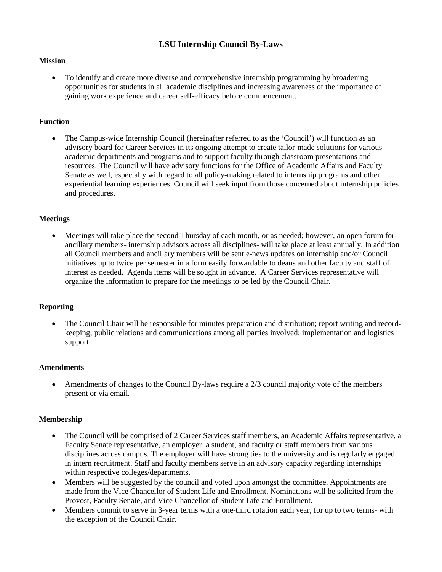# **LSU Internship Council By-Laws**

### **Mission**

• To identify and create more diverse and comprehensive internship programming by broadening opportunities for students in all academic disciplines and increasing awareness of the importance of gaining work experience and career self-efficacy before commencement.

### **Function**

• The Campus-wide Internship Council (hereinafter referred to as the 'Council') will function as an advisory board for Career Services in its ongoing attempt to create tailor-made solutions for various academic departments and programs and to support faculty through classroom presentations and resources. The Council will have advisory functions for the Office of Academic Affairs and Faculty Senate as well, especially with regard to all policy-making related to internship programs and other experiential learning experiences. Council will seek input from those concerned about internship policies and procedures.

### **Meetings**

• Meetings will take place the second Thursday of each month, or as needed; however, an open forum for ancillary members- internship advisors across all disciplines- will take place at least annually. In addition all Council members and ancillary members will be sent e-news updates on internship and/or Council initiatives up to twice per semester in a form easily forwardable to deans and other faculty and staff of interest as needed. Agenda items will be sought in advance. A Career Services representative will organize the information to prepare for the meetings to be led by the Council Chair.

### **Reporting**

• The Council Chair will be responsible for minutes preparation and distribution; report writing and recordkeeping; public relations and communications among all parties involved; implementation and logistics support.

### **Amendments**

• Amendments of changes to the Council By-laws require a 2/3 council majority vote of the members present or via email.

### **Membership**

- The Council will be comprised of 2 Career Services staff members, an Academic Affairs representative, a Faculty Senate representative, an employer, a student, and faculty or staff members from various disciplines across campus. The employer will have strong ties to the university and is regularly engaged in intern recruitment. Staff and faculty members serve in an advisory capacity regarding internships within respective colleges/departments.
- Members will be suggested by the council and voted upon amongst the committee. Appointments are made from the Vice Chancellor of Student Life and Enrollment. Nominations will be solicited from the Provost, Faculty Senate, and Vice Chancellor of Student Life and Enrollment.
- Members commit to serve in 3-year terms with a one-third rotation each year, for up to two terms- with the exception of the Council Chair.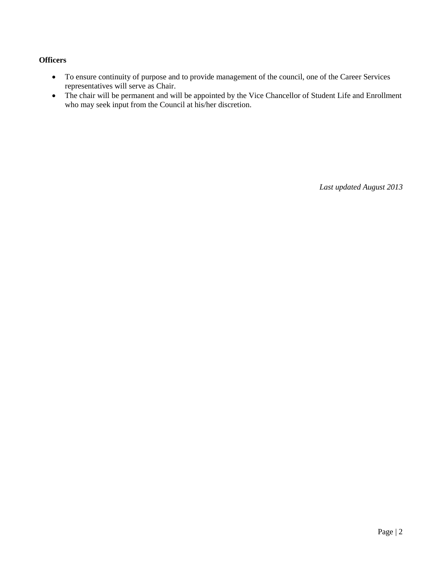### **Officers**

- To ensure continuity of purpose and to provide management of the council, one of the Career Services representatives will serve as Chair.
- The chair will be permanent and will be appointed by the Vice Chancellor of Student Life and Enrollment who may seek input from the Council at his/her discretion.

*Last updated August 2013*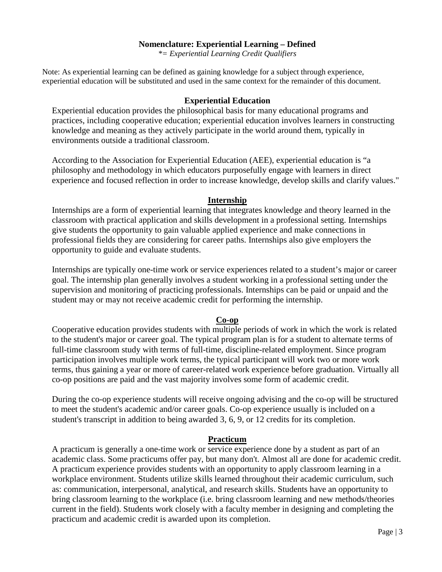### **Nomenclature: Experiential Learning – Defined**

*\*= Experiential Learning Credit Qualifiers*

Note: As experiential learning can be defined as gaining knowledge for a subject through experience, experiential education will be substituted and used in the same context for the remainder of this document.

#### **Experiential Education**

Experiential education provides the philosophical basis for many educational programs and practices, including cooperative education; experiential education involves learners in constructing knowledge and meaning as they actively participate in the world around them, typically in environments outside a traditional classroom.

According to the Association for Experiential Education (AEE), experiential education is "a philosophy and methodology in which educators purposefully engage with learners in direct experience and focused reflection in order to increase knowledge, develop skills and clarify values."

#### **Internship**

Internships are a form of experiential learning that integrates knowledge and theory learned in the classroom with practical application and skills development in a professional setting. Internships give students the opportunity to gain valuable applied experience and make connections in professional fields they are considering for career paths. Internships also give employers the opportunity to guide and evaluate students.

Internships are typically one-time work or service experiences related to a student's major or career goal. The internship plan generally involves a student working in a professional setting under the supervision and monitoring of practicing professionals. Internships can be paid or unpaid and the student may or may not receive academic credit for performing the internship.

### **Co-op**

Cooperative education provides students with multiple periods of work in which the work is related to the student's major or career goal. The typical program plan is for a student to alternate terms of full-time classroom study with terms of full-time, discipline-related employment. Since program participation involves multiple work terms, the typical participant will work two or more work terms, thus gaining a year or more of career-related work experience before graduation. Virtually all co-op positions are paid and the vast majority involves some form of academic credit.

During the co-op experience students will receive ongoing advising and the co-op will be structured to meet the student's academic and/or career goals. Co-op experience usually is included on a student's transcript in addition to being awarded 3, 6, 9, or 12 credits for its completion.

### **Practicum**

A practicum is generally a one-time work or service experience done by a student as part of an academic class. Some practicums offer pay, but many don't. Almost all are done for academic credit. A practicum experience provides students with an opportunity to apply classroom learning in a workplace environment. Students utilize skills learned throughout their academic curriculum, such as: communication, interpersonal, analytical, and research skills. Students have an opportunity to bring classroom learning to the workplace (i.e. bring classroom learning and new methods/theories current in the field). Students work closely with a faculty member in designing and completing the practicum and academic credit is awarded upon its completion.